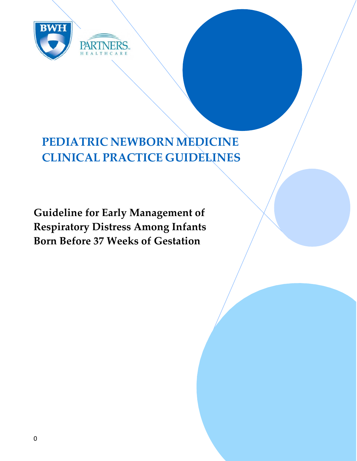

# **PEDIATRIC NEWBORN MEDICINE CLINICAL PRACTICE GUIDELINES**

**Guideline for Early Management of Respiratory Distress Among Infants Born Before 37 Weeks of Gestation**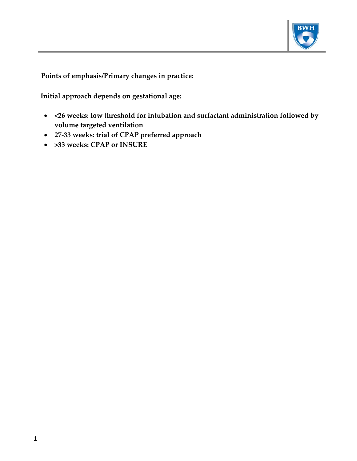

**Points of emphasis/Primary changes in practice:**

 **Initial approach depends on gestational age:** 

- **<26 weeks: low threshold for intubation and surfactant administration followed by volume targeted ventilation**
- **27‐33 weeks: trial of CPAP preferred approach**
- **>33 weeks: CPAP or INSURE**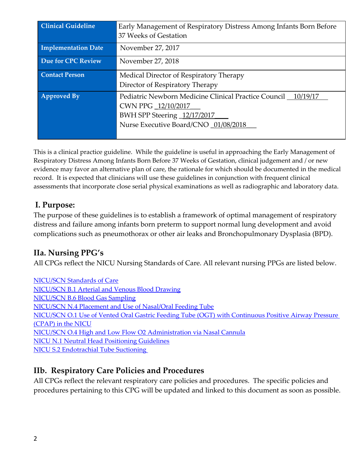| <b>Clinical Guideline</b>  | Early Management of Respiratory Distress Among Infants Born Before |
|----------------------------|--------------------------------------------------------------------|
|                            | 37 Weeks of Gestation                                              |
| <b>Implementation Date</b> | November 27, 2017                                                  |
| Due for CPC Review         | November 27, 2018                                                  |
| <b>Contact Person</b>      | Medical Director of Respiratory Therapy                            |
|                            | Director of Respiratory Therapy                                    |
| <b>Approved By</b>         | Pediatric Newborn Medicine Clinical Practice Council _ 10/19/17    |
|                            | CWN PPG 12/10/2017                                                 |
|                            | BWH SPP Steering 12/17/2017                                        |
|                            | Nurse Executive Board/CNO 01/08/2018                               |
|                            |                                                                    |

This is a clinical practice guideline. While the guideline is useful in approaching the Early Management of Respiratory Distress Among Infants Born Before 37 Weeks of Gestation, clinical judgement and / or new evidence may favor an alternative plan of care, the rationale for which should be documented in the medical record. It is expected that clinicians will use these guidelines in conjunction with frequent clinical assessments that incorporate close serial physical examinations as well as radiographic and laboratory data.

## **I. Purpose:**

The purpose of these guidelines is to establish a framework of optimal management of respiratory distress and failure among infants born preterm to support normal lung development and avoid complications such as pneumothorax or other air leaks and Bronchopulmonary Dysplasia (BPD).

# **IIa. Nursing PPG's**

All CPGs reflect the NICU Nursing Standards of Care. All relevant nursing PPGs are listed below.

NICU/SCN Standards of Care NICU/SCN B.1 Arterial and Venous Blood Drawing NICU/SCN B.6 Blood Gas Sampling NICU/SCN N.4 Placement and Use of Nasal/Oral Feeding Tube NICU/SCN O.1 Use of Vented Oral Gastric Feeding Tube (OGT) with Continuous Positive Airway Pressure (CPAP) in the NICU NICU/SCN O.4 High and Low Flow O2 Administration via Nasal Cannula NICU N.1 Neutral Head Positioning Guidelines NICU S.2 Endotrachial Tube Suctioning

# **IIb. Respiratory Care Policies and Procedures**

All CPGs reflect the relevant respiratory care policies and procedures. The specific policies and procedures pertaining to this CPG will be updated and linked to this document as soon as possible.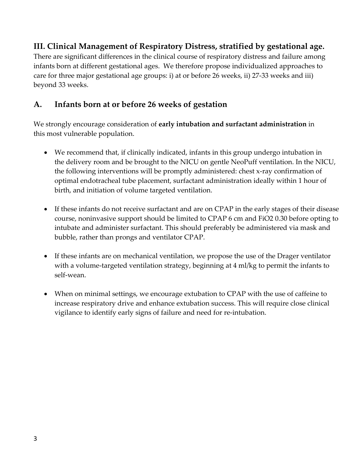# **III. Clinical Management of Respiratory Distress, stratified by gestational age.**

There are significant differences in the clinical course of respiratory distress and failure among infants born at different gestational ages. We therefore propose individualized approaches to care for three major gestational age groups: i) at or before 26 weeks, ii) 27‐33 weeks and iii) beyond 33 weeks.

## **A. Infants born at or before 26 weeks of gestation**

We strongly encourage consideration of **early intubation and surfactant administration** in this most vulnerable population.

- We recommend that, if clinically indicated, infants in this group undergo intubation in the delivery room and be brought to the NICU on gentle NeoPuff ventilation. In the NICU, the following interventions will be promptly administered: chest x‐ray confirmation of optimal endotracheal tube placement, surfactant administration ideally within 1 hour of birth, and initiation of volume targeted ventilation.
- If these infants do not receive surfactant and are on CPAP in the early stages of their disease course, noninvasive support should be limited to CPAP 6 cm and FiO2 0.30 before opting to intubate and administer surfactant. This should preferably be administered via mask and bubble, rather than prongs and ventilator CPAP.
- If these infants are on mechanical ventilation, we propose the use of the Drager ventilator with a volume-targeted ventilation strategy, beginning at 4 ml/kg to permit the infants to self‐wean.
- When on minimal settings, we encourage extubation to CPAP with the use of caffeine to increase respiratory drive and enhance extubation success. This will require close clinical vigilance to identify early signs of failure and need for re‐intubation.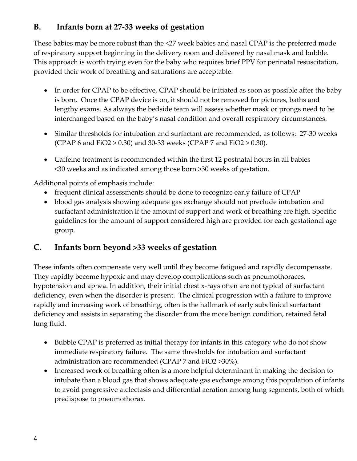# **B. Infants born at 27‐33 weeks of gestation**

These babies may be more robust than the <27 week babies and nasal CPAP is the preferred mode of respiratory support beginning in the delivery room and delivered by nasal mask and bubble. This approach is worth trying even for the baby who requires brief PPV for perinatal resuscitation, provided their work of breathing and saturations are acceptable.

- In order for CPAP to be effective, CPAP should be initiated as soon as possible after the baby is born. Once the CPAP device is on, it should not be removed for pictures, baths and lengthy exams. As always the bedside team will assess whether mask or prongs need to be interchanged based on the baby's nasal condition and overall respiratory circumstances.
- Similar thresholds for intubation and surfactant are recommended, as follows: 27‐30 weeks (CPAP 6 and FiO2 > 0.30) and 30‐33 weeks (CPAP 7 and FiO2 > 0.30).
- Caffeine treatment is recommended within the first 12 postnatal hours in all babies <30 weeks and as indicated among those born >30 weeks of gestation.

Additional points of emphasis include:

- frequent clinical assessments should be done to recognize early failure of CPAP
- blood gas analysis showing adequate gas exchange should not preclude intubation and surfactant administration if the amount of support and work of breathing are high. Specific guidelines for the amount of support considered high are provided for each gestational age group.

# **C. Infants born beyond >33 weeks of gestation**

These infants often compensate very well until they become fatigued and rapidly decompensate. They rapidly become hypoxic and may develop complications such as pneumothoraces, hypotension and apnea. In addition, their initial chest x-rays often are not typical of surfactant deficiency, even when the disorder is present. The clinical progression with a failure to improve rapidly and increasing work of breathing, often is the hallmark of early subclinical surfactant deficiency and assists in separating the disorder from the more benign condition, retained fetal lung fluid.

- Bubble CPAP is preferred as initial therapy for infants in this category who do not show immediate respiratory failure. The same thresholds for intubation and surfactant administration are recommended (CPAP 7 and FiO2 >30%).
- Increased work of breathing often is a more helpful determinant in making the decision to intubate than a blood gas that shows adequate gas exchange among this population of infants to avoid progressive atelectasis and differential aeration among lung segments, both of which predispose to pneumothorax.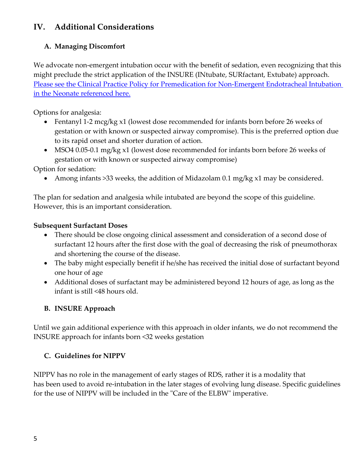# **IV. Additional Considerations**

#### **A. Managing Discomfort**

We advocate non-emergent intubation occur with the benefit of sedation, even recognizing that this might preclude the strict application of the INSURE (INtubate, SURfactant, Extubate) approach. Please see the Clinical Practice Policy for Premedication for Non‐Emergent Endotracheal Intubation in the Neonate referenced here.

Options for analgesia:

- Fentanyl 1‐2 mcg/kg x1 (lowest dose recommended for infants born before 26 weeks of gestation or with known or suspected airway compromise). This is the preferred option due to its rapid onset and shorter duration of action.
- MSO4 0.05‐0.1 mg/kg x1 (lowest dose recommended for infants born before 26 weeks of gestation or with known or suspected airway compromise)

Option for sedation:

• Among infants >33 weeks, the addition of Midazolam 0.1 mg/kg x1 may be considered.

The plan for sedation and analgesia while intubated are beyond the scope of this guideline. However, this is an important consideration.

#### **Subsequent Surfactant Doses**

- There should be close ongoing clinical assessment and consideration of a second dose of surfactant 12 hours after the first dose with the goal of decreasing the risk of pneumothorax and shortening the course of the disease.
- The baby might especially benefit if he/she has received the initial dose of surfactant beyond one hour of age
- Additional doses of surfactant may be administered beyond 12 hours of age, as long as the infant is still <48 hours old.

#### **B. INSURE Approach**

Until we gain additional experience with this approach in older infants, we do not recommend the INSURE approach for infants born <32 weeks gestation

#### **C. Guidelines for NIPPV**

NIPPV has no role in the management of early stages of RDS, rather it is a modality that has been used to avoid re-intubation in the later stages of evolving lung disease. Specific guidelines for the use of NIPPV will be included in the "Care of the ELBW" imperative.